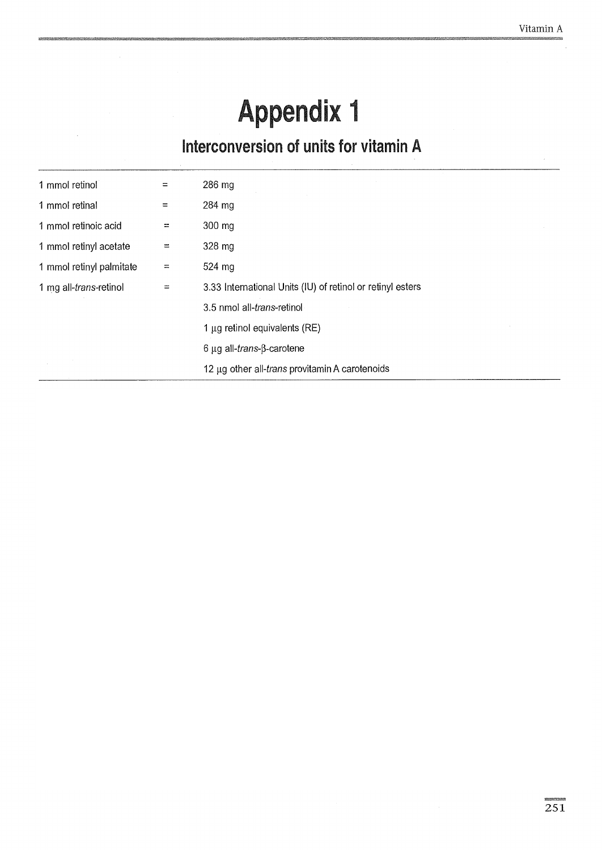# **1 1**

## **Interconversion of units for vitamin A**

| 1 mmol retinol           | Ξ                                                                      | 286 mg                                          |  |
|--------------------------|------------------------------------------------------------------------|-------------------------------------------------|--|
| 1 mmol retinal           | $=$                                                                    | 284 mg                                          |  |
| 1 mmol retinoic acid     | $=$                                                                    | 300 mg                                          |  |
| 1 mmol retinyl acetate   | $\equiv$                                                               | 328 mg                                          |  |
| 1 mmol retinyl palmitate | $\equiv$                                                               | 524 mg                                          |  |
| 1 mg all-trans-retinol   | 3.33 International Units (IU) of retinol or retinyl esters<br>$\equiv$ |                                                 |  |
|                          |                                                                        | 3.5 nmol all-trans-retinol                      |  |
|                          |                                                                        | 1 µg retinol equivalents (RE)                   |  |
|                          |                                                                        | $6 \mu g$ all- <i>trans</i> - $\beta$ -carotene |  |
|                          |                                                                        | 12 µg other all-trans provitamin A carotenoids  |  |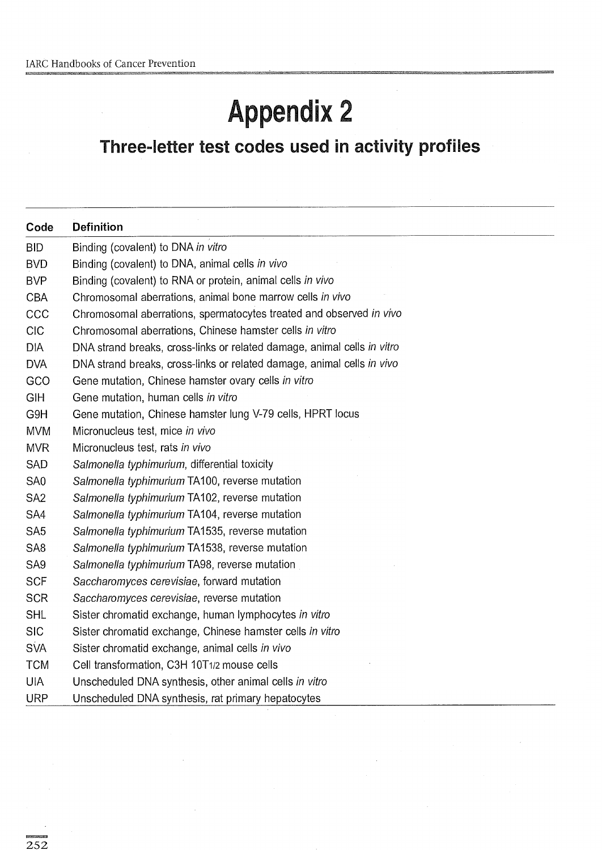## **Appendix 2**

## Three-letter test codes used in activity profiles

| Code            | <b>Definition</b>                                                       |  |  |  |
|-----------------|-------------------------------------------------------------------------|--|--|--|
| <b>BID</b>      | Binding (covalent) to DNA in vitro                                      |  |  |  |
| <b>BVD</b>      | Binding (covalent) to DNA, animal cells in vivo                         |  |  |  |
| <b>BVP</b>      | Binding (covalent) to RNA or protein, animal cells in vivo              |  |  |  |
| <b>CBA</b>      | Chromosomal aberrations, animal bone marrow cells in vivo               |  |  |  |
| CCC             | Chromosomal aberrations, spermatocytes treated and observed in vivo     |  |  |  |
| <b>CIC</b>      | Chromosomal aberrations, Chinese hamster cells in vitro                 |  |  |  |
| DIA             | DNA strand breaks, cross-links or related damage, animal cells in vitro |  |  |  |
| <b>DVA</b>      | DNA strand breaks, cross-links or related damage, animal cells in vivo  |  |  |  |
| GCO             | Gene mutation, Chinese hamster ovary cells in vitro                     |  |  |  |
| <b>GIH</b>      | Gene mutation, human cells in vitro                                     |  |  |  |
| G9H             | Gene mutation, Chinese hamster lung V-79 cells, HPRT locus              |  |  |  |
| <b>MVM</b>      | Micronucleus test, mice in vivo                                         |  |  |  |
| <b>MVR</b>      | Micronucleus test, rats in vivo                                         |  |  |  |
| <b>SAD</b>      | Salmonella typhimurium, differential toxicity                           |  |  |  |
| SA <sub>0</sub> | Salmonella typhimurium TA100, reverse mutation                          |  |  |  |
| SA <sub>2</sub> | Salmonella typhimurium TA102, reverse mutation                          |  |  |  |
| SA4             | Salmonella typhimurium TA104, reverse mutation                          |  |  |  |
| SA <sub>5</sub> | Salmonella typhimurium TA1535, reverse mutation                         |  |  |  |
| SA <sub>8</sub> | Salmonella typhimurium TA1538, reverse mutation                         |  |  |  |
| SA <sub>9</sub> | Salmonella typhimurium TA98, reverse mutation                           |  |  |  |
| <b>SCF</b>      | Saccharomyces cerevisiae, forward mutation                              |  |  |  |
| <b>SCR</b>      | Saccharomyces cerevisiae, reverse mutation                              |  |  |  |
| <b>SHL</b>      | Sister chromatid exchange, human lymphocytes in vitro                   |  |  |  |
| <b>SIC</b>      | Sister chromatid exchange, Chinese hamster cells in vitro               |  |  |  |
| <b>SVA</b>      | Sister chromatid exchange, animal cells in vivo                         |  |  |  |
| <b>TCM</b>      | Cell transformation, C3H 10T1/2 mouse cells                             |  |  |  |
| <b>UIA</b>      | Unscheduled DNA synthesis, other animal cells in vitro                  |  |  |  |
| <b>URP</b>      | Unscheduled DNA synthesis, rat primary hepatocytes                      |  |  |  |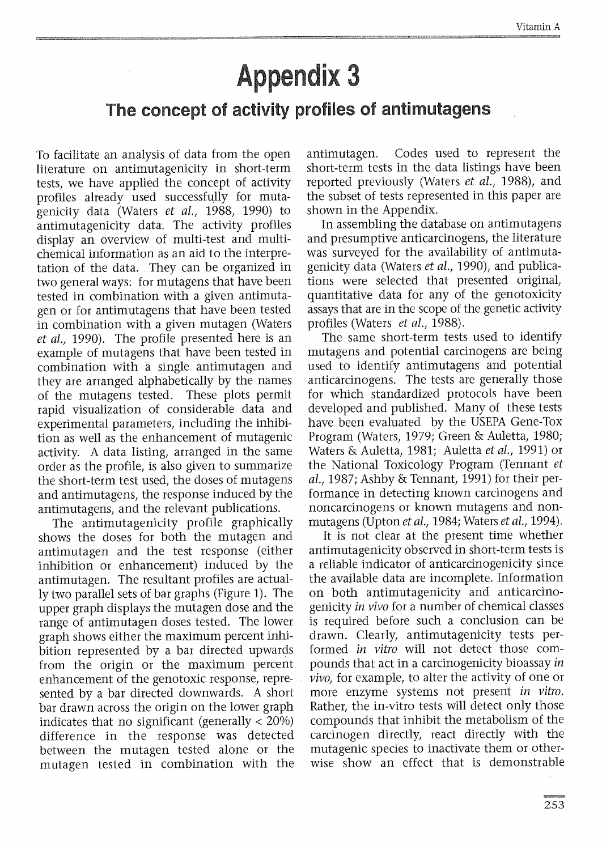## **Appendix 3**

### **illumiries Interprent of activity profiles of antimutagens**

To facilitate an analysis of data from the open literature on antimutagenicity in short-term tests, we have applied the concept of activity profiles already used successfully for mutagenicity data (Waters *et al.,* 1988, 1990) to antimutagenicity data. The activity profiles display an overview of multi-test and multichemical information as an aid to the interpretation of the data. They can be organized in two general ways: for mutagens that have been tested in combination with a given antimutagen or for antimutagens that have been tested in combination with a given mutagen (Waters *et al.,* 1990). The profile presented here is an example of mutagens that have been tested in combination with a single antimutagen and they are arranged alphabetically by the names of the mutagens tested. These plots permit rapid visualization of considerable data and experimental parameters, including the inhibition as well as the enhancement of mutagenic activity. A data listing, arranged in the same order as the profile, is also given to summarize the short-term test used, the doses of mutagens and antimutagens, the response induced by the antimutagens, and the relevant publications.

The antimutagenicity profile graphically shows the doses for both the mutagen and antimutagen and the test response (either inhibition or enhancement) induced by the antimutagen. The resultant profiles are actually two parallel sets of bar graphs (Figure 1). The upper graph displays the mutagen dose and the range of antimutagen doses tested. The lower graph shows either the maximum percent inhibition represented by a bar directed upwards from the origin or the maximum percent enhancement of the genotoxic response, represented by a bar directed downwards. A short bar drawn across the origin on the lower graph indicates that no significant (generally  $<$  20%) difference in the response was detected between the mutagen tested alone or the mutagen tested in combination with the

antimutagen. Codes used to represent the short-term tests in the data listings have been reported previously (Waters *et al.,* 1988), and the subset of tests represented in this paper are shown in the Appendix.

In assembling the database on antimutagens and presumptive anticarcinogens, the literature was surveyed for the availability of antimutagenicity data (Waters *et al.,* 1990), and publications were selected that presented original, quantitative data for any of the genotoxicity assays that are in the scope of the genetic activity profiles (Waters *et al.,* 1988).

The same short-term tests used to identify mutagens and potential carcinogens are being used to identify antimutagens and potential anticarcinogens. The tests are generally those for which standardized protocols have been developed and published. Many of these tests have been evaluated by the USEPA Gene-Tox Program (Waters, 1979; Green & Auletta, 1980; Waters & Auletta, 1981; Auletta *et al.,* 1991) or the National Toxicology Program (Tennant *et al.,* 1987; Ashby & Tennant, 1991) for their performance in detecting known carcinogens and noncarcinogens or known mutagens and nonmutagens (Upton *et al.,* 1984; Waters *et al.,* 1994).

It is not clear at the present time whether antimutagenicity observed in short-term tests is a reliable indicator of anticarcinogenicity since the available data are incomplete. Information on both antimutagenicity and anticarcinogenicity *in vivo* for a number of chemical classes is required before such a conclusion can be drawn. Clearly, antimutagenicity tests performed *in vitro will* not detect those compounds that act in a carcinogenicity bioassay *in*  vivo, for example, to alter the activity of one or more enzyme systems not present *in vitro.*  Rather, the in-vitro tests will detect only those compounds that inhibit the metabolism of the carcinogen directly, react directly with the mutagenic species to inactivate them or otherwise show an effect that is demonstrable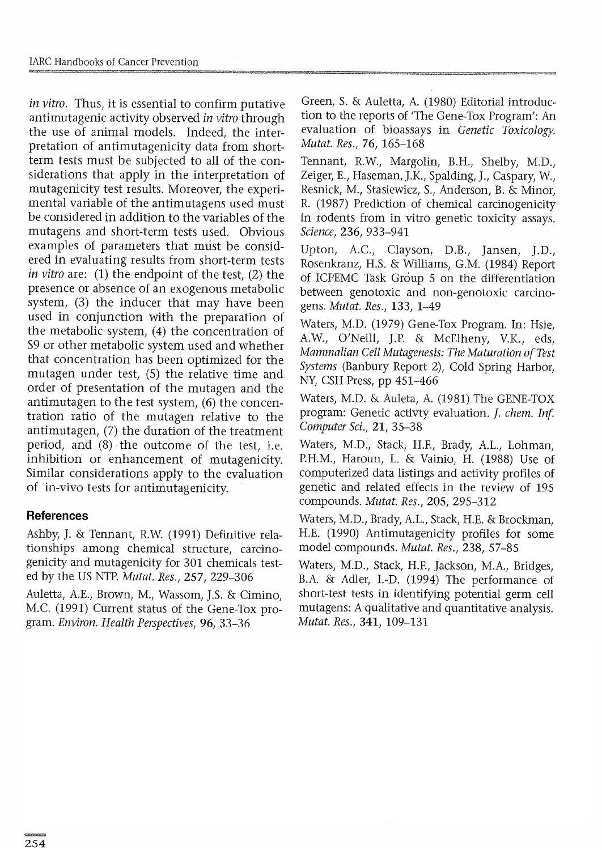*in vitro.* Thus, it is essential to confirm putative antimutagenic activity observed *in vitro* through the use of animal models. Indeed, the inter- pretation of antimutagenicity data from shortterm tests must be subjected to all of the considerations that apply in the interpretation of mutagenicity test results. Moreover, the experimental variable of the antimutagens used must be considered in addition to the variables of the mutagens and short-term tests used. Obvious examples of parameters that must be considered in evaluating results from short-term tests *in vitro* are: (1) the endpoint of the test, (2) the presence or absence of an exogenous metabolic system, (3) the inducer that may have been used in conjunction with the preparation of the metabolic system, (4) the concentration of S9 or other metabolic system used and whether that concentration has been optimized for the mutagen under test, (5) the relative time and order of presentation of the mutagen and the antimutagen to the test system, (6) the concentration ratio of the mutagen relative to the antimutagen, (7) the duration of the treatment period, and (8) the outcome of the test, i.e. inhibition or enhancement of mutagenicity. Similar considerations apply to the evaluation of in-vivo tests for antimutagenicity.

#### **References**

Ashby, J. & Tennant, R.W. (1991) Definitive relationships among chemical structure, carcinogenicity and mutagenicity for 301 chemicals tested by the US NTP. *Mutat. Res., 257,* 229-306

Auletta, A.E., Brown, M., Wassom, J.S. & Cimino, M.C. (1991) Current status of the Gene-Tox pro*gram. Environ. Health Perspectives, 96,* 33-36

Green, S. & Auletta, A. (1980) Editorial introduction to the reports of 'The Gene-Tox Program': An evaluation of bioassays in *Genetic Toxicology. Mutat. Res., 76,* 165-168

Tennant, R.W., Margolin, B.H., Shelby, M.D., Zeiger, E., Haseman, J.K., Spalding, J., Caspary, W., Resnick, M., Stasiewicz, S., Anderson, B. & Minor, R. (1987) Prediction of chemical carcinogenicity in rodents from in vitro genetic toxicity assays. *Science, 236,* 933-941

Upton, A.C., Clayson, D.B., Jansen, J.D., Rosenkranz, H.S. & Williams, G.M. (1984) Report of ICPEMC Task Group 5 on the differentiation between genotoxic and non-genotoxic carcino*gens. Mutat. Res., 133,* 1-49

Waters, M.D. (1979) Gene-Tox Program. In: Hsie, A.W., O'Neill, J.P. & McElheny, V.K., eds, *Mammalian Cell Mutagenesis: The Maturation of Test Systems* (Banbury Report 2), Cold Spring Harbor, NY, CSH Press, pp 451-466

Waters, M.D. & Auleta, A. (1981) The GENE-TOX program: Genetic activty evaluation. *J. chem. Inf Computer Sci., 21,* 35-38

Waters, M.D., Stack, H.F., Brady, A.L., Lohman, P.H.M., Haroun, L. & Vainio, H. (1988) Use of computerized data listings and activity profiles of genetic and related effects in the review of 195 compounds. *Mutat. Res., 205,* 295-312

Waters, M.D., Brady, A.L., Stack, H.E. & Brockman, H.E. (1990) Antimutagenicity profiles for some model compounds. *Mutat. Res., 238,* 57-85

Waters, M.D., Stack, H.E, Jackson, M.A., Bridges, B.A. & Adler, 1.-D. (1994) The performance of short-test tests in identifying potential germ cell mutagens: A qualitative and quantitative analysis. *Mutat. Res., 341,* 109-131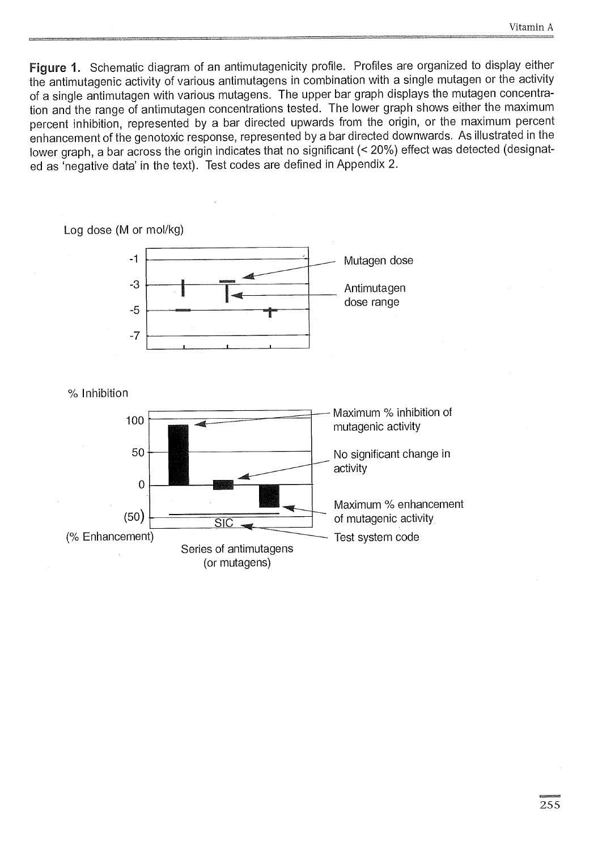**Figure 1.** Schematic diagram of an antimutagenicity profile. Profiles are organized to display either the antimutagenic activity of various antimutagens in combination with a single mutagen or the activity of a single antimutagen with various mutagens. The upper bar graph displays the mutagen concentration and the range of antimutagen concentrations tested. The lower graph shows either the maximum percent inhibition, represented by a bar directed upwards from the origin, or the maximum percent enhancement of the genotoxic response, represented by a bar directed downwards. As illustrated in the lower graph, a bar across the origin indicates that no significant (< 20%) effect was detected (designated as 'negative data' in the text). Test codes are defined in Appendix 2.

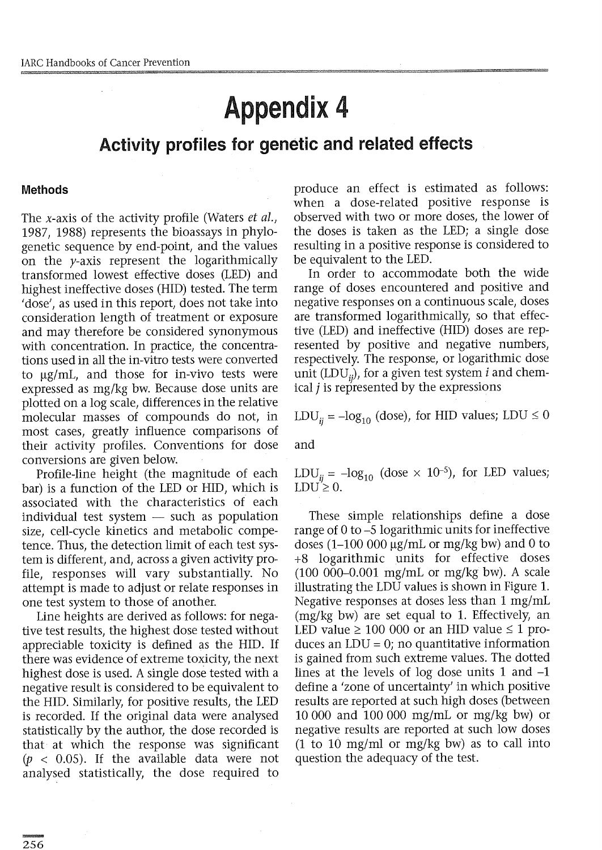# **Appendix 4**<br>Activity profiles for genetic and related effects

#### **Methods**

The x-axis of the activity profile (Waters *et al.,*  1987, 1988) represents the bioassays in phylogenetic sequence by end-point, and the values on the y-axis represent the logarithmically transformed lowest effective doses (LED) and highest ineffective doses (HID) tested. The term 'dose', as used in this report, does not take into consideration length of treatment or exposure and may therefore be considered synonymous with concentration. In practice, the concentrations used in all the in-vitro tests were converted to  $\mu$ g/mL, and those for in-vivo tests were expressed as mg/kg bw. Because dose units are plotted on a log scale, differences in the relative molecular masses of compounds do not, in most cases, greatly influence comparisons of their activity profiles. Conventions for dose conversions are given below.

Profile-line height (the magnitude of each bar) is a function of the LED or HID, which is associated with the characteristics of each bar) is a function of the LED or HID, which is<br>associated with the characteristics of each<br>individual test system — such as population<br>size sell system — such as population size, cell-cycle kinetics and metabolic competence. Thus, the detection limit of each test system is different, and, across a given activity profile, responses will vary substantially. No attempt is made to adjust or relate responses in one test system to those of another.

Line heights are derived as follows: for negative test results, the highest dose tested without appreciable toxicity is defined **as** the HID. If there was evidence of extreme toxicity, the next highest dose is used. A single dose tested with a negative result is considered to be equivalent to the HID. Similarly, for positive results, the LED is recorded. If the original data were analysed statistically by the author, the dose recorded is that at which the response was significant  $(p < 0.05)$ . If the available data were not analysed statistically, the dose required to

produce an effect is estimated as follows: when a dose-related positive response is observed with two or more doses, the lower of the doses is taken as the LED; a single dose resulting in a positive response is considered to be equivalent to the LED.

In order to accommodate both the wide range of doses encountered and positive and negative responses on a continuous scale, doses are transformed logarithmically, so that effective (LED) and ineffective (HID) doses are represented by positive and negative numbers, respectively. The response, or logarithmic dose unit (LDU<sub>ii</sub>), for a given test system *i* and chemical *j* is represented by the expressions

$$
LDU_{ij} = -log_{10} \text{ (dose), for HID values; } LDU \le 0
$$

and

 $LDU_{ii} = -log_{10}$  (dose  $\times$  10<sup>-5</sup>), for LED values;  $LDU^{\prime\prime}\geq 0.$ 

These simple relationships define a dose range of O to —5 logarithmic units for ineffective doses  $(1-100\ 000\ \mu\text{g/mL}$  or mg/kg bw) and 0 to +8 logarithmic units for effective doses (100 000-0.001 mg/mL or mg/kg bw). A scale illustrating the LDU values is shown in Figure 1. Negative responses at doses less than 1 mg/mL (mg/kg bw) are set equal to 1. Effectively, an LED value  $\geq 100 000$  or an HID value  $\leq 1$  produces an  $LDU = 0$ ; no quantitative information is gained from such extreme values. The dotted lines at the levels of log dose units 1 and —1 define a 'zone of uncertainty' in which positive results are reported at such high doses (between 10 000 and 100 000 mg/mL or mg/kg bw) or negative results are reported at such low doses (1 to 10 mg/ml or mg/kg bw) as to call into question the adequacy of the test.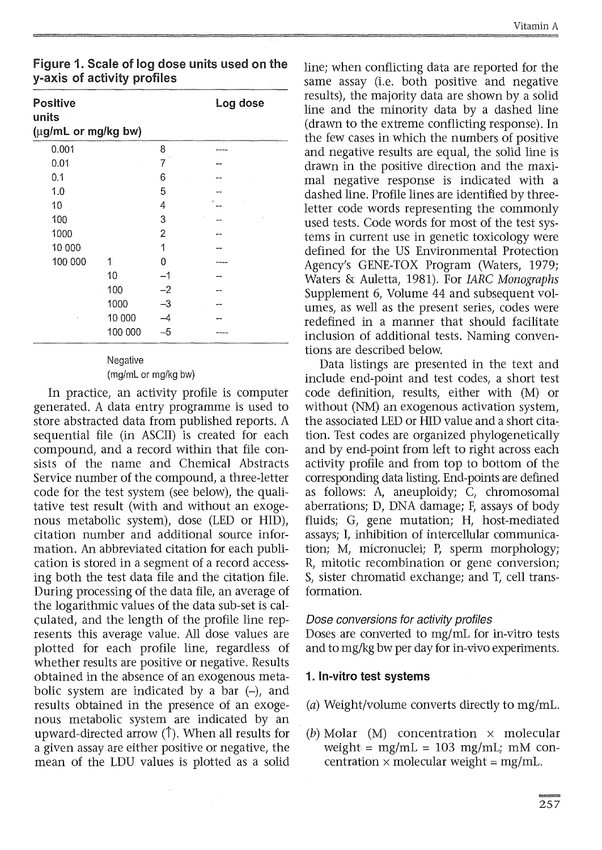| <b>Positive</b><br>units<br>$\mu g/mL$ or mg/kg bw) |         |      | Log dose |
|-----------------------------------------------------|---------|------|----------|
| 0.001                                               |         | 8    |          |
| 0.01                                                |         | 7    |          |
| 0.1                                                 |         | 6    |          |
| 1.0                                                 |         | 5    |          |
| 10                                                  |         | 4    |          |
| 100                                                 |         | 3    |          |
| 1000                                                |         | 2    |          |
| 10 000                                              |         | 1    |          |
| 100 000                                             | 1       | 0    |          |
|                                                     | 10      | -1   |          |
|                                                     | 100     | $-2$ |          |
|                                                     | 1000    | $-3$ |          |
|                                                     | 10 000  | -4   |          |
|                                                     | 100 000 | $-5$ |          |

#### **Figure 1. Scale of log dose units used on the y-axis of activity profiles**

#### **Negative**

(mg/mL or mg/kg bw)

In practice, an activity profile is computer generated. A data entry programme is used to store abstracted data from published reports. A sequential file (in ASCII) is created for each compound, and a record within that file consists of the name and Chemical Abstracts Service number of the compound, a three-letter code for the test system (see below), the qualitative test result (with and without an exogenous metabolic system), dose (LED or HID), citation number and additional source information. An abbreviated citation for each publication is stored in a segment of a record accessing both the test data file and the citation file. During processing of the data file, an average of the logarithmic values of the data sub-set is calçulated, and the length of the profile line represents this average value. All dose values are plotted for each profile line, regardless of whether results are positive or negative. Results obtained in the absence of an exogenous metabolic system are indicated by a bar  $(-)$ , and results obtained in the presence of an exogenous metabolic system are indicated by an upward-directed arrow  $(1)$ . When all results for a given assay are either positive or negative, the mean of the LDU values is plotted as a solid line; when conflicting data are reported for the same assay (i.e. both positive and negative results), the majority data are shown by a solid line and the minority data by a dashed line (drawn to the extreme conflicting response). In the few cases in which the numbers of positive and negative results are equal, the solid line is drawn in the positive direction and the maximal negative response is indicated with a dashed line. Profile lines are identified by threeletter code words representing the commonly used tests. Code words for most of the test systems in current use in genetic toxicology were defined for the US Environmental Protection Agency's GENE-TOX Program (Waters, 1979; Waters & Auletta, 1981). For *IARC Monographs*  Supplement 6, Volume 44 and subsequent volumes, as well as the present series, codes were redefined in a manner that should facilitate inclusion of additional tests. Naming conventions are described below.

Data listings are presented in the text and include end-point and test codes, a short test code definition, results, either with (M) or without (NM) an exogenous activation system, the associated LED or HID value and a short citation. Test codes are organized phylogenetically and by end-point from left to right across each activity profile and from top to bottom of the corresponding data listing. End-points are defined as follows: A, aneuploidy; C, chromosomal aberrations; D, DNA damage; F, assays of body fluids; G, gene mutation; H, host-mediated assays; I, inhibition of intercellular communication; M, micronuclei; P, sperm morphology; R, mitotic recombination or gene conversion; S, sister chromatid exchange; and T, cell transformation.

#### Dose conversions for activity profiles

Doses are converted to mg/mL for in-vitro tests and to mg/kg bw per day for in-vivo experiments.

#### **1.In-vitro test systems**

- (a) Weight/volume converts directly to mg/mL.
- (b) Molar (M) concentration  $\times$  molecular weight =  $mg/mL$  = 103 mg/mL; mM concentration  $\times$  molecular weight = mg/mL.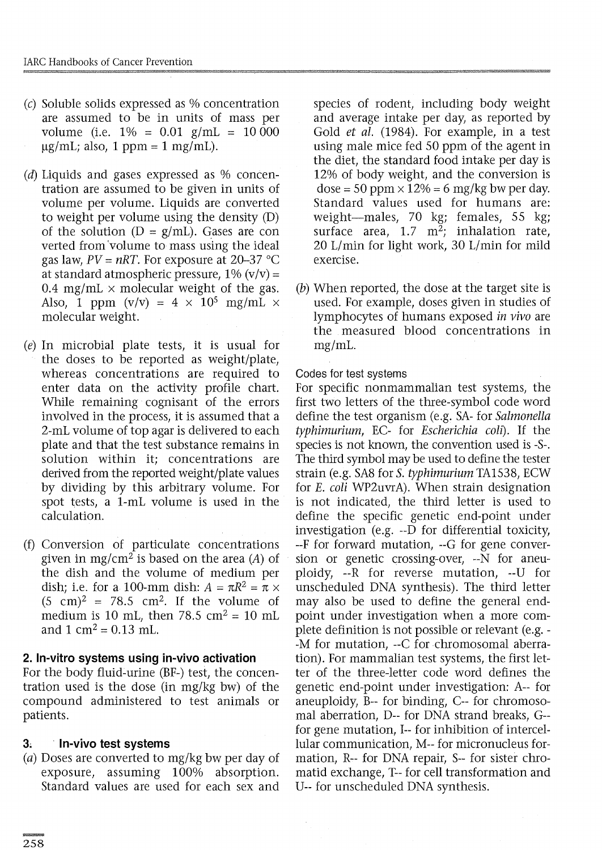- (c) Soluble solids expressed as % concentration are assumed to be in units of mass per volume (i.e.  $1\% = 0.01$  g/mL = 10 000  $\mu$ g/mL; also, 1 ppm = 1 mg/mL).
- (d) Liquids and gases expressed as % concentration are assumed to be given in units of volume per volume. Liquids are converted to weight per volume using the density (D) of the solution  $(D = g/mL)$ . Gases are con vetted from volume to mass using the ideal gas law,  $PV = nRT$ . For exposure at 20–37 °C at standard atmospheric pressure,  $1\%$  (v/v) = 0.4 mg/mL  $\times$  molecular weight of the gas. Also, 1 ppm  $(v/v) = 4 \times 10^5$  mg/mL  $\times$ molecular weight.
- (e) In microbial plate tests, it is usual for the doses to be reported as weight/plate, whereas concentrations are required to enter data on the activity profile chart. While remaining cognisant of the errors involved in the process, it is assumed that a 2-mL volume of top agar is delivered to each plate and that the test substance remains in solution within it; concentrations are derived from the reported weight/plate values by dividing by this arbitrary volume. For spot tests, a 1-mL volume is used in the calculation.
- (f) conversion of particulate concentrations given in mg/cm2is based on the area *(A)* of the dish and the volume of medium per dish; i.e. for a 100-mm dish:  $A = \pi R^2 = \pi \times$  $(5 \text{ cm})^2$  = 78.5 cm<sup>2</sup>. If the volume of medium is 10 mL, then 78.5 cm<sup>2</sup> = 10 mL and 1 cm<sup>2</sup> =  $0.13$  mL.

#### **2. In-vitro systems using in-vivo activation**

For the body fluid-urine (BF-) test, the concentration used is the dose (in mg/kg bw) of the compound administered to test animals or patients.

#### **3; In-vivo test systems**

*(a)* Doses are converted to mg/kg bw per day of exposure, assuming 100% absorption. Standard values are used for each sex and species of rodent, including body weight and average intake per day, as reported by Gold *et al.* (1984). For example, in a test using male mice fed 50 ppm of the agent in the diet, the standard food intake per day is 12% of body weight, and the conversion is  $dose = 50$  ppm  $\times$  12% = 6 mg/kg bw per day. Standard values used for humans are: weight—males, 70 kg; females, 55 kg; surface area,  $1.7 \text{ m}^2$ ; inhalation rate, 20 L/min for light work, 30 L/min for mild exercise.

*(b)* When reported, the dose at the target site is used. For example, doses given in studies of lymphocytes of humans exposed *in vivo* are the measured blood concentrations in mg/mL.

#### Codes for test systems

For specific nonmammalian test systems, the first two letters of the three-symbol code word define the test organism (e.g. SA- for *Salmonella 4'phimurium,* E- for *Escherichia coli).* If the species is not known, the convention used is -S-. The third symbol may be used to define the tester strain (e.g. SA8 for S. *typhimurium* TA1538, EW for *E. coli* WP2uvrA). When strain designation is not indicated, the third letter is used to define the specific genetic end-point under investigation (e.g. --D for differential toxicity, --F for forward mutation, --G for gene conversion or genetic crossing-over, --N for aneuploidy, --R for reverse mutation, --U for unscheduled DNA synthesis). The third letter may also be used to define the general endpoint under investigation when a more complete definition is not possible or relevant (e.g. - -M for mutation, --c for chromosomal aberration). For mammalian test systems, the first letter of the three-letter code word defines the genetic end-point under investigation: A-- for aneuploidy, B-- for binding, c-- for chromosomal aberration, D-- for DNA strand breaks, G- for gene mutation, I-- for inhibition of intercellular communication, M-- for micronucleus formation, R-- for DNA repair, S-- for sister chromatid exchange, T-- for cell transformation and U-- for unscheduled DNA synthesis.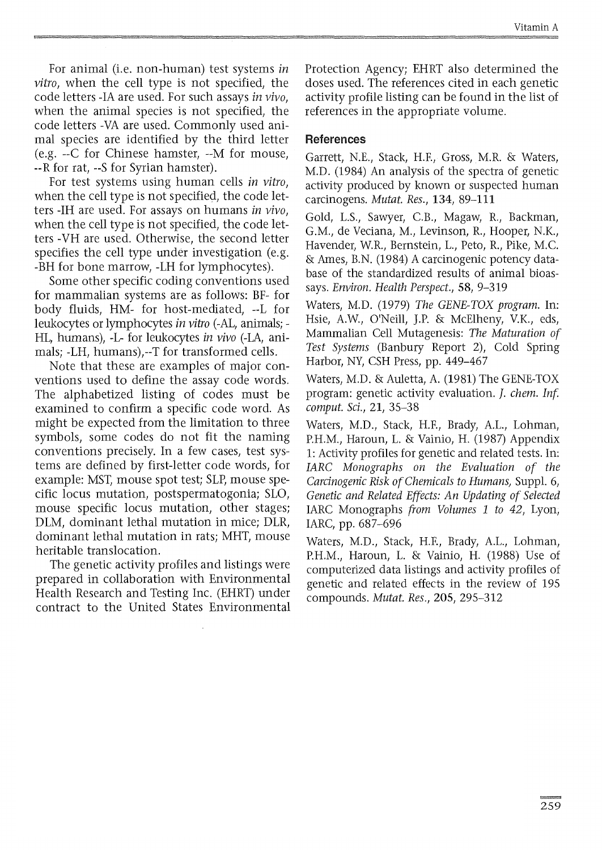For animal (i.e. non-human) test systems *in vitro,* when the cell type is not specified, the code letters -IA are used. For such assays *in vivo,*  when the animal species is not specified, the code letters -VA are used. Commonly used animal species are identified by the third letter (e.g. --C for Chinese hamster, --M for mouse, --R for rat, --S for Syrian hamster).

For test systems using human cells *in vitro,*  when the cell type is not specified, the code letters -1H are used. For assays on humans *in vivo,*  when the cell type is not specified, the code letters -VH are used. Otherwise, the second letter specifies the cell type under investigation (e.g. -BH for bone marrow, -LH for lymphocytes).

Some other specific coding conventions used for mammalian systems are as follows: BF- for body fluids, HM- for host-mediated, --L for leukocytes or lymphocytes *in vitro* (-AL, animals; - HL, humans), -L- for leukocytes *in vivo* (-LA, animals; -LH, humans),--T for transformed cells.

Note that these are examples of major conventions used to define the assay code words. The alphabetized listing of codes must be examined to confirm a specific code word. As might be expected from the limitation to three symbols, some codes do not fit the naming conventions precisely. In a few cases, test systems are defined by first-letter code words, for example: MST, mouse spot test; SLP, mouse specific locus mutation, postspermatogonia; SLO, mouse specific locus mutation, other stages; DLM, dominant lethal mutation in mice; DLR, dominant lethal mutation in rats; MHT, mouse heritable translocation.

The genetic activity profiles and listings were prepared in collaboration with Environmental Health Research and Testing Inc. (EHRT) under contract to the United States Environmental Protection Agency; EHRT also determined the doses used. The references cited in each genetic activity profile listing can be found in the list of references in the appropriate volume.

#### **References**

Garrett, N.E., Stack, H.F., Gross, M.R. & Waters, M.D. (1984) An analysis of the spectra of genetic activity produced by known or suspected human carcinogens. *Mutat. Res., 134,* 89-111

Gold, L.S., Sawyer, C.B., Magaw, R., Backman, G.M., de Veciana, M., Levinson, R., Hooper, N.K., Havender, W.R., Bernstein, L., Peto, R., Pike, M.C. & Ames, B.N. (1984) A carcinogenic potency database of the standardized results of animal bioas*says. Environ. Health Perspect., 58,* 9-319

Waters, M.D. (1979) *The GENE-TOX program.* In: Hsie, A.W., O'Neill, J.P. & McElheny, V.K., eds, Mammalian Cell Mutagenesis: *The Maturation of Test Systems* (Banbury Report 2), Cold Spring Harbor, NY, CSH Press, pp. 449-467

Waters, M.D. & Auletta, A. (1981) The GENE-TOX program: genetic activity evaluation. *J. chem. Inf. comput. Sci.,* 21, 35-38

Waters, M.D., Stack, H.F., Brady, A.L., Lohman, P.H.M., Haroun, L. & Vainio, H. (1987) Appendix 1: Activity profiles for genetic and related tests. In: *IARC Monographs on the Evaluation of the Carcinogenic Risk of Chemicals to Humans, Suppl.* 6, *Genetic and Related Effects: An Updating of Selected*  IARC Monographs *from Volumes 1 to 42,* Lyon, IARC, pp. 687-696

Waters, M.D., Stack, H.F., Brady, A.L., Lohman, P.H.M., Haroun, L. & Vainio, H. (1988) Use of computerized data listings and activity profiles of genetic and related effects in the review of 195 *compounds. Mutat. Res., 205,* 295-312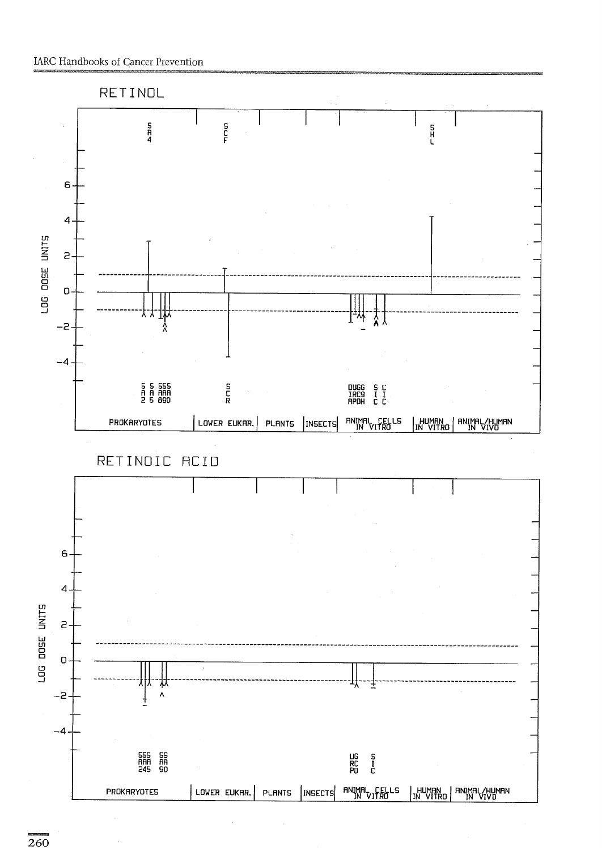